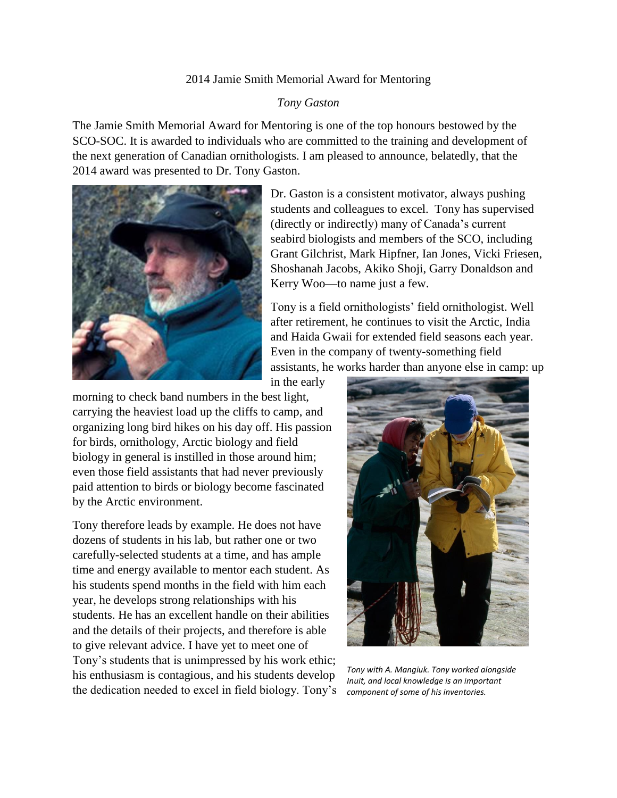## 2014 Jamie Smith Memorial Award for Mentoring

## *Tony Gaston*

The Jamie Smith Memorial Award for Mentoring is one of the top honours bestowed by the SCO-SOC. It is awarded to individuals who are committed to the training and development of the next generation of Canadian ornithologists. I am pleased to announce, belatedly, that the 2014 award was presented to Dr. Tony Gaston.



Dr. Gaston is a consistent motivator, always pushing students and colleagues to excel. Tony has supervised (directly or indirectly) many of Canada's current seabird biologists and members of the SCO, including Grant Gilchrist, Mark Hipfner, Ian Jones, Vicki Friesen, Shoshanah Jacobs, Akiko Shoji, Garry Donaldson and Kerry Woo—to name just a few.

Tony is a field ornithologists' field ornithologist. Well after retirement, he continues to visit the Arctic, India and Haida Gwaii for extended field seasons each year. Even in the company of twenty-something field assistants, he works harder than anyone else in camp: up

in the early

morning to check band numbers in the best light, carrying the heaviest load up the cliffs to camp, and organizing long bird hikes on his day off. His passion for birds, ornithology, Arctic biology and field biology in general is instilled in those around him; even those field assistants that had never previously paid attention to birds or biology become fascinated by the Arctic environment.

Tony therefore leads by example. He does not have dozens of students in his lab, but rather one or two carefully-selected students at a time, and has ample time and energy available to mentor each student. As his students spend months in the field with him each year, he develops strong relationships with his students. He has an excellent handle on their abilities and the details of their projects, and therefore is able to give relevant advice. I have yet to meet one of Tony's students that is unimpressed by his work ethic; his enthusiasm is contagious, and his students develop the dedication needed to excel in field biology. Tony's



*Tony with A. Mangiuk. Tony worked alongside Inuit, and local knowledge is an important component of some of his inventories.*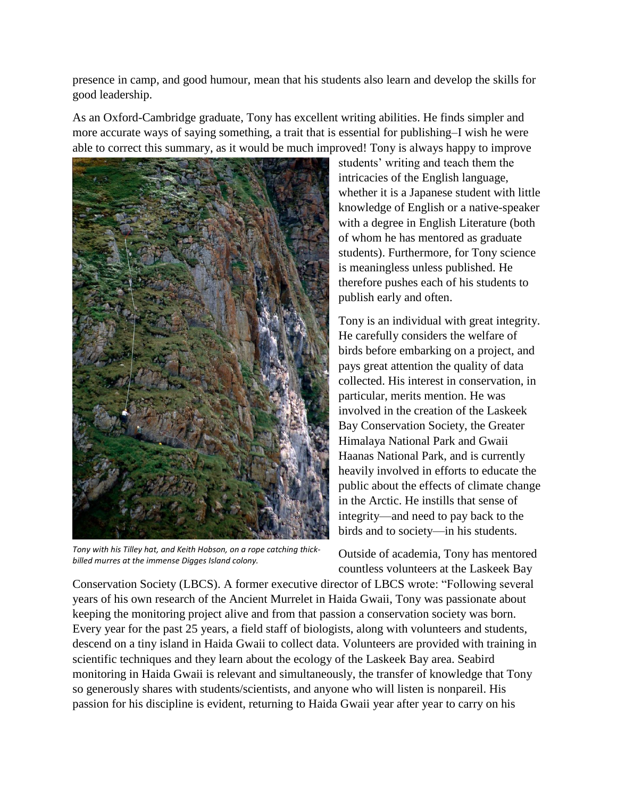presence in camp, and good humour, mean that his students also learn and develop the skills for good leadership.

As an Oxford-Cambridge graduate, Tony has excellent writing abilities. He finds simpler and more accurate ways of saying something, a trait that is essential for publishing–I wish he were able to correct this summary, as it would be much improved! Tony is always happy to improve



*Tony with his Tilley hat, and Keith Hobson, on a rope catching thickbilled murres at the immense Digges Island colony.*

students' writing and teach them the intricacies of the English language, whether it is a Japanese student with little knowledge of English or a native-speaker with a degree in English Literature (both of whom he has mentored as graduate students). Furthermore, for Tony science is meaningless unless published. He therefore pushes each of his students to publish early and often.

Tony is an individual with great integrity. He carefully considers the welfare of birds before embarking on a project, and pays great attention the quality of data collected. His interest in conservation, in particular, merits mention. He was involved in the creation of the Laskeek Bay Conservation Society, the Greater Himalaya National Park and Gwaii Haanas National Park, and is currently heavily involved in efforts to educate the public about the effects of climate change in the Arctic. He instills that sense of integrity—and need to pay back to the birds and to society—in his students.

Outside of academia, Tony has mentored countless volunteers at the Laskeek Bay

Conservation Society (LBCS). A former executive director of LBCS wrote: "Following several years of his own research of the Ancient Murrelet in Haida Gwaii, Tony was passionate about keeping the monitoring project alive and from that passion a conservation society was born. Every year for the past 25 years, a field staff of biologists, along with volunteers and students, descend on a tiny island in Haida Gwaii to collect data. Volunteers are provided with training in scientific techniques and they learn about the ecology of the Laskeek Bay area. Seabird monitoring in Haida Gwaii is relevant and simultaneously, the transfer of knowledge that Tony so generously shares with students/scientists, and anyone who will listen is nonpareil. His passion for his discipline is evident, returning to Haida Gwaii year after year to carry on his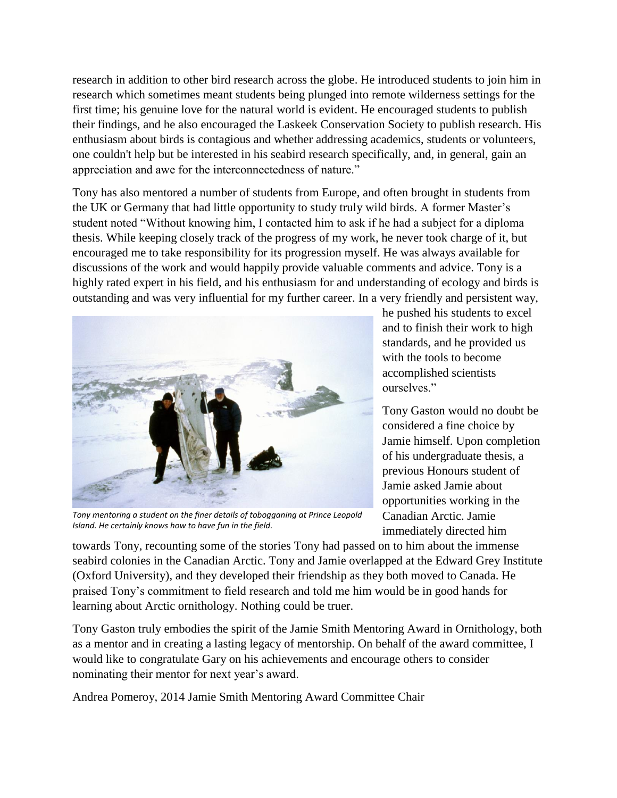research in addition to other bird research across the globe. He introduced students to join him in research which sometimes meant students being plunged into remote wilderness settings for the first time; his genuine love for the natural world is evident. He encouraged students to publish their findings, and he also encouraged the Laskeek Conservation Society to publish research. His enthusiasm about birds is contagious and whether addressing academics, students or volunteers, one couldn't help but be interested in his seabird research specifically, and, in general, gain an appreciation and awe for the interconnectedness of nature."

Tony has also mentored a number of students from Europe, and often brought in students from the UK or Germany that had little opportunity to study truly wild birds. A former Master's student noted "Without knowing him, I contacted him to ask if he had a subject for a diploma thesis. While keeping closely track of the progress of my work, he never took charge of it, but encouraged me to take responsibility for its progression myself. He was always available for discussions of the work and would happily provide valuable comments and advice. Tony is a highly rated expert in his field, and his enthusiasm for and understanding of ecology and birds is outstanding and was very influential for my further career. In a very friendly and persistent way,



*Tony mentoring a student on the finer details of tobogganing at Prince Leopold Island. He certainly knows how to have fun in the field.*

he pushed his students to excel and to finish their work to high standards, and he provided us with the tools to become accomplished scientists ourselves."

Tony Gaston would no doubt be considered a fine choice by Jamie himself. Upon completion of his undergraduate thesis, a previous Honours student of Jamie asked Jamie about opportunities working in the Canadian Arctic. Jamie immediately directed him

towards Tony, recounting some of the stories Tony had passed on to him about the immense seabird colonies in the Canadian Arctic. Tony and Jamie overlapped at the Edward Grey Institute (Oxford University), and they developed their friendship as they both moved to Canada. He praised Tony's commitment to field research and told me him would be in good hands for learning about Arctic ornithology. Nothing could be truer.

Tony Gaston truly embodies the spirit of the Jamie Smith Mentoring Award in Ornithology, both as a mentor and in creating a lasting legacy of mentorship. On behalf of the award committee, I would like to congratulate Gary on his achievements and encourage others to consider nominating their mentor for next year's award.

Andrea Pomeroy, 2014 Jamie Smith Mentoring Award Committee Chair